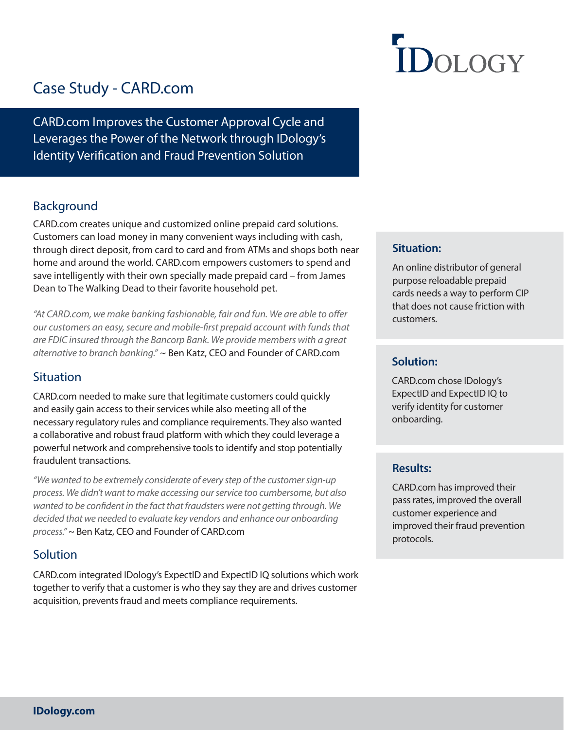# **IDOLOGY**

## Case Study - CARD.com

CARD.com Improves the Customer Approval Cycle and Leverages the Power of the Network through IDology's Identity Verification and Fraud Prevention Solution

### Background

CARD.com creates unique and customized online prepaid card solutions. Customers can load money in many convenient ways including with cash, through direct deposit, from card to card and from ATMs and shops both near home and around the world. CARD.com empowers customers to spend and save intelligently with their own specially made prepaid card – from James Dean to The Walking Dead to their favorite household pet.

"At CARD.com, we make banking fashionable, fair and fun. We are able to ofer our customers an easy, secure and mobile-first prepaid account with funds that are FDIC insured through the Bancorp Bank. We provide members with a great alternative to branch banking." ~ Ben Katz, CEO and Founder of CARD.com

#### **Situation**

CARD.com needed to make sure that legitimate customers could quickly and easily gain access to their services while also meeting all of the necessary regulatory rules and compliance requirements. They also wanted a collaborative and robust fraud platform with which they could leverage a powerful network and comprehensive tools to identify and stop potentially fraudulent transactions.

"We wanted to be extremely considerate of every step of the customer sign-up process. We didn't want to make accessing our service too cumbersome, but also wanted to be confident in the fact that fraudsters were not getting through. We decided that we needed to evaluate key vendors and enhance our onboarding process." ~ Ben Katz, CEO and Founder of CARD.com

#### **Solution**

CARD.com integrated IDology's ExpectID and ExpectID IQ solutions which work together to verify that a customer is who they say they are and drives customer acquisition, prevents fraud and meets compliance requirements.

#### **Situation:**

An online distributor of general purpose reloadable prepaid cards needs a way to perform CIP that does not cause friction with customers.

#### **Solution:**

CARD.com chose IDology's ExpectID and ExpectID IQ to verify identity for customer onboarding.

#### **Results:**

CARD.com has improved their pass rates, improved the overall customer experience and improved their fraud prevention protocols.